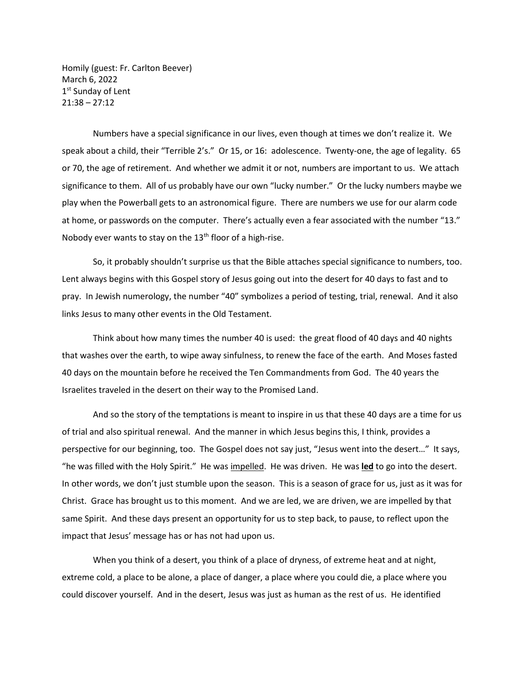Homily (guest: Fr. Carlton Beever) March 6, 2022 1<sup>st</sup> Sunday of Lent 21:38 – 27:12

Numbers have a special significance in our lives, even though at times we don't realize it. We speak about a child, their "Terrible 2's." Or 15, or 16: adolescence. Twenty-one, the age of legality. 65 or 70, the age of retirement. And whether we admit it or not, numbers are important to us. We attach significance to them. All of us probably have our own "lucky number." Or the lucky numbers maybe we play when the Powerball gets to an astronomical figure. There are numbers we use for our alarm code at home, or passwords on the computer. There's actually even a fear associated with the number "13." Nobody ever wants to stay on the  $13<sup>th</sup>$  floor of a high-rise.

So, it probably shouldn't surprise us that the Bible attaches special significance to numbers, too. Lent always begins with this Gospel story of Jesus going out into the desert for 40 days to fast and to pray. In Jewish numerology, the number "40" symbolizes a period of testing, trial, renewal. And it also links Jesus to many other events in the Old Testament.

Think about how many times the number 40 is used: the great flood of 40 days and 40 nights that washes over the earth, to wipe away sinfulness, to renew the face of the earth. And Moses fasted 40 days on the mountain before he received the Ten Commandments from God. The 40 years the Israelites traveled in the desert on their way to the Promised Land.

And so the story of the temptations is meant to inspire in us that these 40 days are a time for us of trial and also spiritual renewal. And the manner in which Jesus begins this, I think, provides a perspective for our beginning, too. The Gospel does not say just, "Jesus went into the desert..." It says, "he was filled with the Holy Spirit." He was impelled. He was driven. He was **led** to go into the desert. In other words, we don't just stumble upon the season. This is a season of grace for us, just as it was for Christ. Grace has brought us to this moment. And we are led, we are driven, we are impelled by that same Spirit. And these days present an opportunity for us to step back, to pause, to reflect upon the impact that Jesus' message has or has not had upon us.

When you think of a desert, you think of a place of dryness, of extreme heat and at night, extreme cold, a place to be alone, a place of danger, a place where you could die, a place where you could discover yourself. And in the desert, Jesus was just as human as the rest of us. He identified